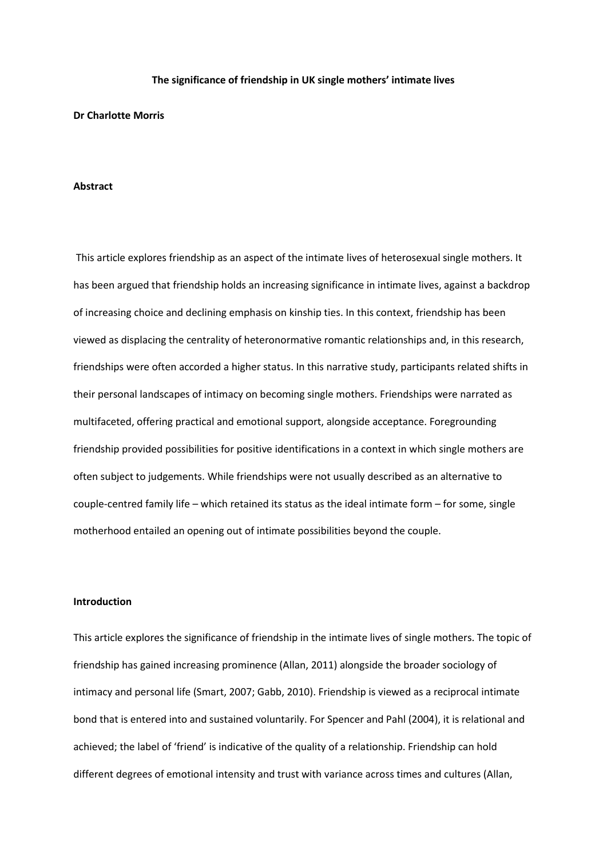#### **The significance of friendship in UK single mothers' intimate lives**

# **Dr Charlotte Morris**

# **Abstract**

This article explores friendship as an aspect of the intimate lives of heterosexual single mothers. It has been argued that friendship holds an increasing significance in intimate lives, against a backdrop of increasing choice and declining emphasis on kinship ties. In this context, friendship has been viewed as displacing the centrality of heteronormative romantic relationships and, in this research, friendships were often accorded a higher status. In this narrative study, participants related shifts in their personal landscapes of intimacy on becoming single mothers. Friendships were narrated as multifaceted, offering practical and emotional support, alongside acceptance. Foregrounding friendship provided possibilities for positive identifications in a context in which single mothers are often subject to judgements. While friendships were not usually described as an alternative to couple-centred family life – which retained its status as the ideal intimate form – for some, single motherhood entailed an opening out of intimate possibilities beyond the couple.

#### **Introduction**

This article explores the significance of friendship in the intimate lives of single mothers. The topic of friendship has gained increasing prominence (Allan, 2011) alongside the broader sociology of intimacy and personal life (Smart, 2007; Gabb, 2010). Friendship is viewed as a reciprocal intimate bond that is entered into and sustained voluntarily. For Spencer and Pahl (2004), it is relational and achieved; the label of 'friend' is indicative of the quality of a relationship. Friendship can hold different degrees of emotional intensity and trust with variance across times and cultures (Allan,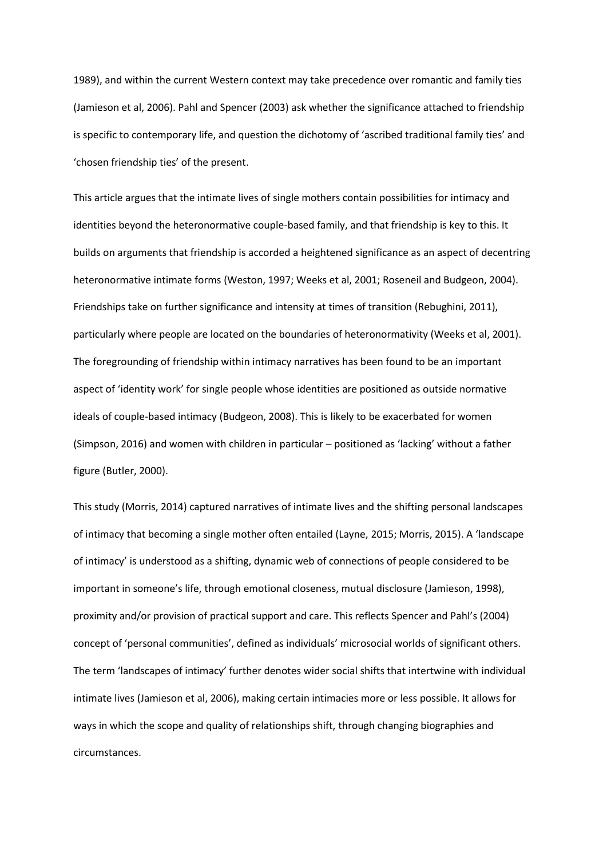1989), and within the current Western context may take precedence over romantic and family ties (Jamieson et al, 2006). Pahl and Spencer (2003) ask whether the significance attached to friendship is specific to contemporary life, and question the dichotomy of 'ascribed traditional family ties' and 'chosen friendship ties' of the present.

This article argues that the intimate lives of single mothers contain possibilities for intimacy and identities beyond the heteronormative couple-based family, and that friendship is key to this. It builds on arguments that friendship is accorded a heightened significance as an aspect of decentring heteronormative intimate forms (Weston, 1997; Weeks et al, 2001; Roseneil and Budgeon, 2004). Friendships take on further significance and intensity at times of transition (Rebughini, 2011), particularly where people are located on the boundaries of heteronormativity (Weeks et al, 2001). The foregrounding of friendship within intimacy narratives has been found to be an important aspect of 'identity work' for single people whose identities are positioned as outside normative ideals of couple-based intimacy (Budgeon, 2008). This is likely to be exacerbated for women (Simpson, 2016) and women with children in particular – positioned as 'lacking' without a father figure (Butler, 2000).

This study (Morris, 2014) captured narratives of intimate lives and the shifting personal landscapes of intimacy that becoming a single mother often entailed (Layne, 2015; Morris, 2015). A 'landscape of intimacy' is understood as a shifting, dynamic web of connections of people considered to be important in someone's life, through emotional closeness, mutual disclosure (Jamieson, 1998), proximity and/or provision of practical support and care. This reflects Spencer and Pahl's (2004) concept of 'personal communities', defined as individuals' microsocial worlds of significant others. The term 'landscapes of intimacy' further denotes wider social shifts that intertwine with individual intimate lives (Jamieson et al, 2006), making certain intimacies more or less possible. It allows for ways in which the scope and quality of relationships shift, through changing biographies and circumstances.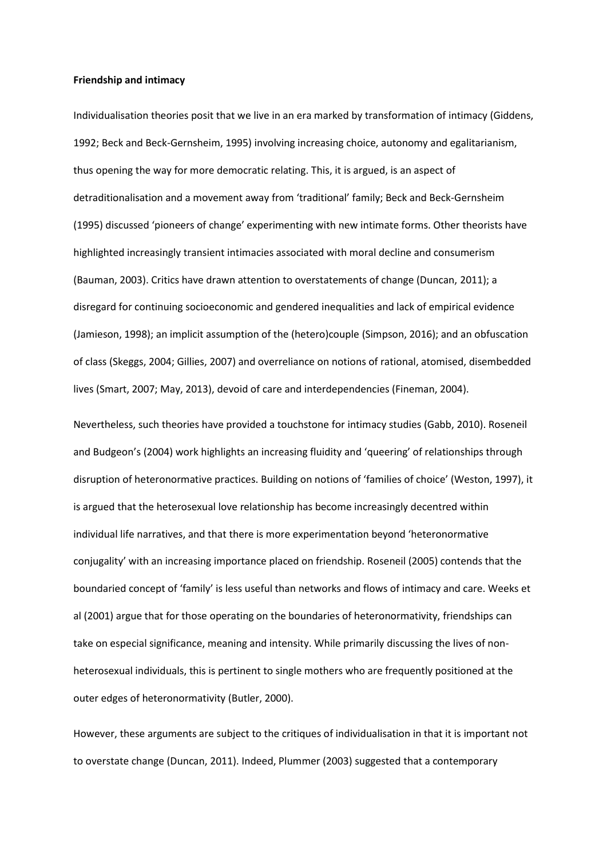### **Friendship and intimacy**

Individualisation theories posit that we live in an era marked by transformation of intimacy (Giddens, 1992; Beck and Beck-Gernsheim, 1995) involving increasing choice, autonomy and egalitarianism, thus opening the way for more democratic relating. This, it is argued, is an aspect of detraditionalisation and a movement away from 'traditional' family; Beck and Beck-Gernsheim (1995) discussed 'pioneers of change' experimenting with new intimate forms. Other theorists have highlighted increasingly transient intimacies associated with moral decline and consumerism (Bauman, 2003). Critics have drawn attention to overstatements of change (Duncan, 2011); a disregard for continuing socioeconomic and gendered inequalities and lack of empirical evidence (Jamieson, 1998); an implicit assumption of the (hetero)couple (Simpson, 2016); and an obfuscation of class (Skeggs, 2004; Gillies, 2007) and overreliance on notions of rational, atomised, disembedded lives (Smart, 2007; May, 2013), devoid of care and interdependencies (Fineman, 2004).

Nevertheless, such theories have provided a touchstone for intimacy studies (Gabb, 2010). Roseneil and Budgeon's (2004) work highlights an increasing fluidity and 'queering' of relationships through disruption of heteronormative practices. Building on notions of 'families of choice' (Weston, 1997), it is argued that the heterosexual love relationship has become increasingly decentred within individual life narratives, and that there is more experimentation beyond 'heteronormative conjugality' with an increasing importance placed on friendship. Roseneil (2005) contends that the boundaried concept of 'family' is less useful than networks and flows of intimacy and care. Weeks et al (2001) argue that for those operating on the boundaries of heteronormativity, friendships can take on especial significance, meaning and intensity. While primarily discussing the lives of nonheterosexual individuals, this is pertinent to single mothers who are frequently positioned at the outer edges of heteronormativity (Butler, 2000).

However, these arguments are subject to the critiques of individualisation in that it is important not to overstate change (Duncan, 2011). Indeed, Plummer (2003) suggested that a contemporary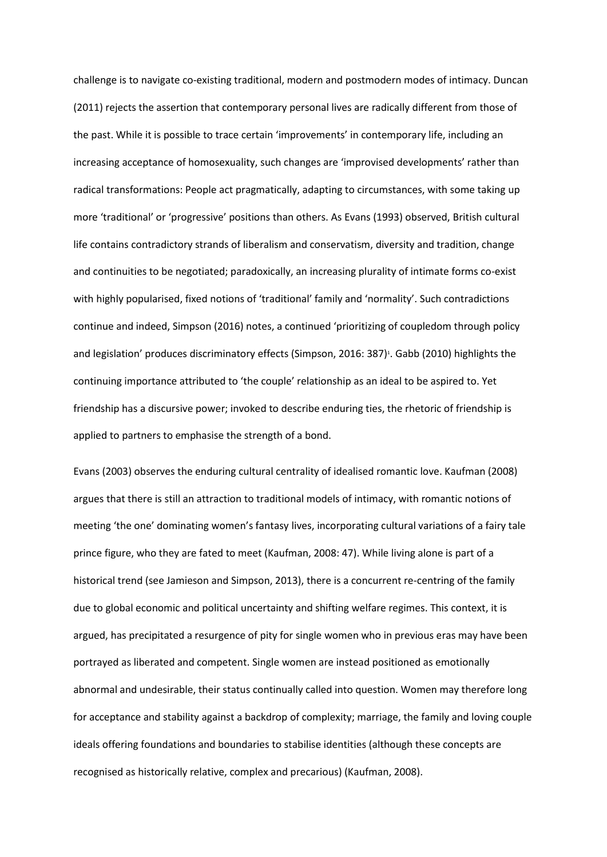challenge is to navigate co-existing traditional, modern and postmodern modes of intimacy. Duncan (2011) rejects the assertion that contemporary personal lives are radically different from those of the past. While it is possible to trace certain 'improvements' in contemporary life, including an increasing acceptance of homosexuality, such changes are 'improvised developments' rather than radical transformations: People act pragmatically, adapting to circumstances, with some taking up more 'traditional' or 'progressive' positions than others. As Evans (1993) observed, British cultural life contains contradictory strands of liberalism and conservatism, diversity and tradition, change and continuities to be negotiated; paradoxically, an increasing plurality of intimate forms co-exist with highly popularised, fixed notions of 'traditional' family and 'normality'. Such contradictions continue and indeed, Simpson (2016) notes, a continued 'prioritizing of coupledom through policy and legislation' produces discriminatory effects (Simpson, 2016: 387)<sup>1</sup>. Gabb (2010) highlights the continuing importance attributed to 'the couple' relationship as an ideal to be aspired to. Yet friendship has a discursive power; invoked to describe enduring ties, the rhetoric of friendship is applied to partners to emphasise the strength of a bond.

Evans (2003) observes the enduring cultural centrality of idealised romantic love. Kaufman (2008) argues that there is still an attraction to traditional models of intimacy, with romantic notions of meeting 'the one' dominating women's fantasy lives, incorporating cultural variations of a fairy tale prince figure, who they are fated to meet (Kaufman, 2008: 47). While living alone is part of a historical trend (see Jamieson and Simpson, 2013), there is a concurrent re-centring of the family due to global economic and political uncertainty and shifting welfare regimes. This context, it is argued, has precipitated a resurgence of pity for single women who in previous eras may have been portrayed as liberated and competent. Single women are instead positioned as emotionally abnormal and undesirable, their status continually called into question. Women may therefore long for acceptance and stability against a backdrop of complexity; marriage, the family and loving couple ideals offering foundations and boundaries to stabilise identities (although these concepts are recognised as historically relative, complex and precarious) (Kaufman, 2008).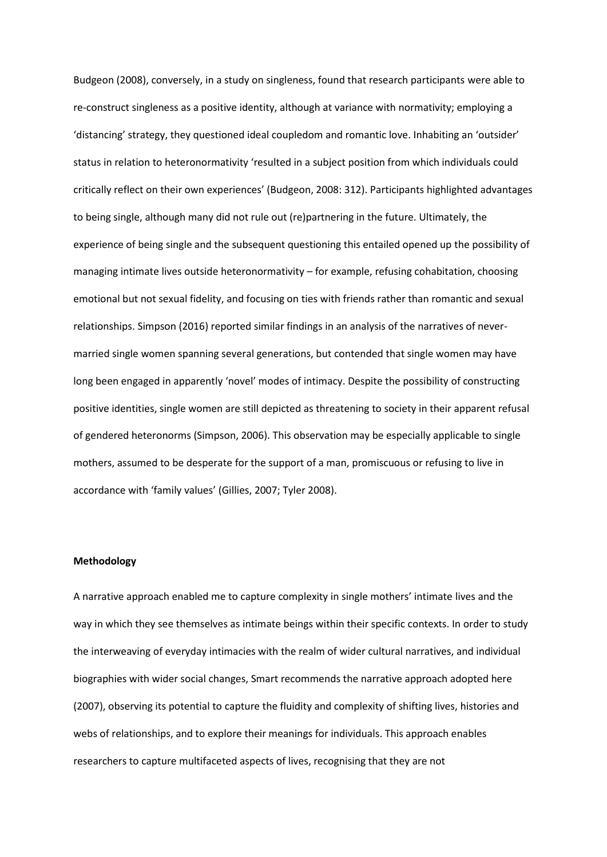Budgeon (2008), conversely, in a study on singleness, found that research participants were able to re-construct singleness as a positive identity, although at variance with normativity; employing a 'distancing' strategy, they questioned ideal coupledom and romantic love. Inhabiting an 'outsider' status in relation to heteronormativity 'resulted in a subject position from which individuals could critically reflect on their own experiences' (Budgeon, 2008: 312). Participants highlighted advantages to being single, although many did not rule out (re)partnering in the future. Ultimately, the experience of being single and the subsequent questioning this entailed opened up the possibility of managing intimate lives outside heteronormativity – for example, refusing cohabitation, choosing emotional but not sexual fidelity, and focusing on ties with friends rather than romantic and sexual relationships. Simpson (2016) reported similar findings in an analysis of the narratives of nevermarried single women spanning several generations, but contended that single women may have long been engaged in apparently 'novel' modes of intimacy. Despite the possibility of constructing positive identities, single women are still depicted as threatening to society in their apparent refusal of gendered heteronorms (Simpson, 2006). This observation may be especially applicable to single mothers, assumed to be desperate for the support of a man, promiscuous or refusing to live in accordance with 'family values' (Gillies, 2007; Tyler 2008).

# **Methodology**

A narrative approach enabled me to capture complexity in single mothers' intimate lives and the way in which they see themselves as intimate beings within their specific contexts. In order to study the interweaving of everyday intimacies with the realm of wider cultural narratives, and individual biographies with wider social changes, Smart recommends the narrative approach adopted here (2007), observing its potential to capture the fluidity and complexity of shifting lives, histories and webs of relationships, and to explore their meanings for individuals. This approach enables researchers to capture multifaceted aspects of lives, recognising that they are not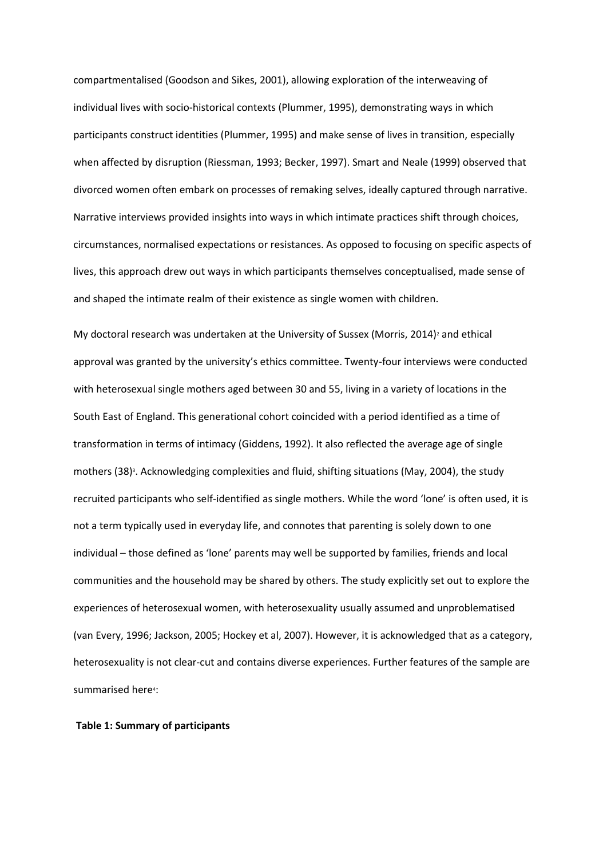compartmentalised (Goodson and Sikes, 2001), allowing exploration of the interweaving of individual lives with socio-historical contexts (Plummer, 1995), demonstrating ways in which participants construct identities (Plummer, 1995) and make sense of lives in transition, especially when affected by disruption (Riessman, 1993; Becker, 1997). Smart and Neale (1999) observed that divorced women often embark on processes of remaking selves, ideally captured through narrative. Narrative interviews provided insights into ways in which intimate practices shift through choices, circumstances, normalised expectations or resistances. As opposed to focusing on specific aspects of lives, this approach drew out ways in which participants themselves conceptualised, made sense of and shaped the intimate realm of their existence as single women with children.

My doctoral research was undertaken at the University of Sussex (Morris, 2014)<sup>2</sup> and ethical approval was granted by the university's ethics committee. Twenty-four interviews were conducted with heterosexual single mothers aged between 30 and 55, living in a variety of locations in the South East of England. This generational cohort coincided with a period identified as a time of transformation in terms of intimacy (Giddens, 1992). It also reflected the average age of single mothers (38)<sup>3</sup>. Acknowledging complexities and fluid, shifting situations (May, 2004), the study recruited participants who self-identified as single mothers. While the word 'lone' is often used, it is not a term typically used in everyday life, and connotes that parenting is solely down to one individual – those defined as 'lone' parents may well be supported by families, friends and local communities and the household may be shared by others. The study explicitly set out to explore the experiences of heterosexual women, with heterosexuality usually assumed and unproblematised (van Every, 1996; Jackson, 2005; Hockey et al, 2007). However, it is acknowledged that as a category, heterosexuality is not clear-cut and contains diverse experiences. Further features of the sample are summarised here<sup>4</sup>:

#### **Table 1: Summary of participants**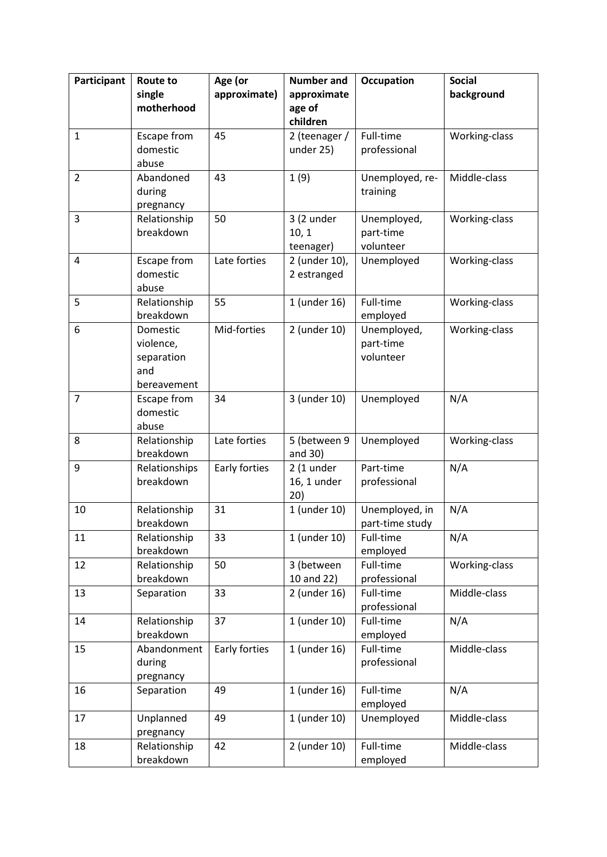| Participant    | Route to                                                  | Age (or       | <b>Number and</b>                 | <b>Occupation</b>                     | <b>Social</b> |
|----------------|-----------------------------------------------------------|---------------|-----------------------------------|---------------------------------------|---------------|
|                | single<br>motherhood                                      | approximate)  | approximate<br>age of             |                                       | background    |
|                |                                                           |               | children                          |                                       |               |
| $\mathbf{1}$   | Escape from<br>domestic                                   | 45            | 2 (teenager /<br>under 25)        | Full-time<br>professional             | Working-class |
| $\overline{2}$ | abuse<br>Abandoned                                        | 43            | 1(9)                              | Unemployed, re-                       | Middle-class  |
|                | during<br>pregnancy                                       |               |                                   | training                              |               |
| 3              | Relationship<br>breakdown                                 | 50            | 3 (2 under<br>10, 1<br>teenager)  | Unemployed,<br>part-time<br>volunteer | Working-class |
| $\overline{4}$ | Escape from<br>domestic<br>abuse                          | Late forties  | 2 (under 10),<br>2 estranged      | Unemployed                            | Working-class |
| 5              | Relationship<br>breakdown                                 | 55            | 1 (under 16)                      | Full-time<br>employed                 | Working-class |
| 6              | Domestic<br>violence,<br>separation<br>and<br>bereavement | Mid-forties   | 2 (under 10)                      | Unemployed,<br>part-time<br>volunteer | Working-class |
| $\overline{7}$ | Escape from<br>domestic<br>abuse                          | 34            | 3 (under 10)                      | Unemployed                            | N/A           |
| 8              | Relationship<br>breakdown                                 | Late forties  | 5 (between 9<br>and 30)           | Unemployed                            | Working-class |
| 9              | Relationships<br>breakdown                                | Early forties | $2(1$ under<br>16, 1 under<br>20) | Part-time<br>professional             | N/A           |
| 10             | Relationship<br>breakdown                                 | 31            | 1 (under 10)                      | Unemployed, in<br>part-time study     | N/A           |
| 11             | Relationship<br>breakdown                                 | 33            | 1 (under 10)                      | Full-time<br>employed                 | N/A           |
| 12             | Relationship<br>breakdown                                 | 50            | 3 (between<br>10 and 22)          | Full-time<br>professional             | Working-class |
| 13             | Separation                                                | 33            | 2 (under 16)                      | Full-time<br>professional             | Middle-class  |
| 14             | Relationship<br>breakdown                                 | 37            | 1 (under 10)                      | Full-time<br>employed                 | N/A           |
| 15             | Abandonment<br>during<br>pregnancy                        | Early forties | 1 (under 16)                      | Full-time<br>professional             | Middle-class  |
| 16             | Separation                                                | 49            | 1 (under 16)                      | Full-time<br>employed                 | N/A           |
| 17             | Unplanned<br>pregnancy                                    | 49            | 1 (under 10)                      | Unemployed                            | Middle-class  |
| 18             | Relationship<br>breakdown                                 | 42            | 2 (under 10)                      | Full-time<br>employed                 | Middle-class  |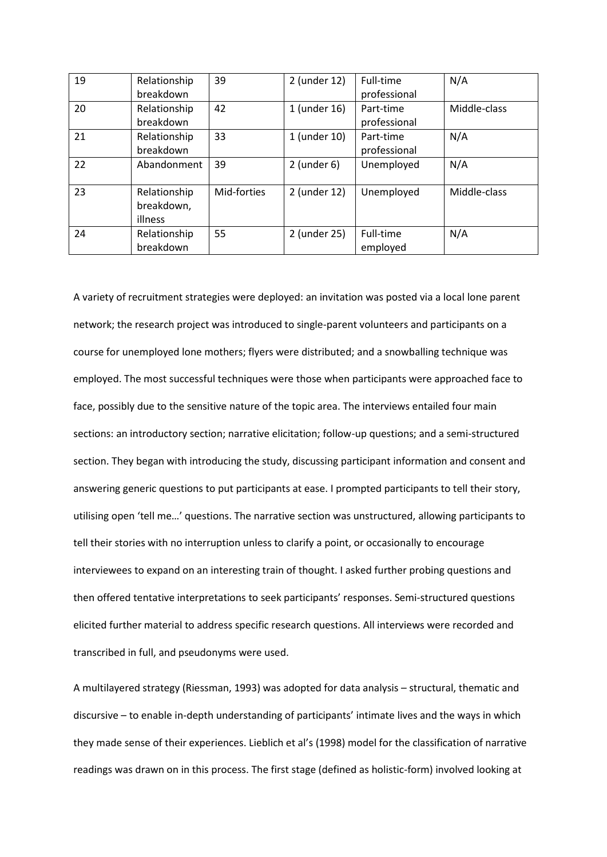| 19 | Relationship | 39          | 2 (under 12)  | Full-time    | N/A          |
|----|--------------|-------------|---------------|--------------|--------------|
|    | breakdown    |             |               | professional |              |
| 20 | Relationship | 42          | 1 (under 16)  | Part-time    | Middle-class |
|    | breakdown    |             |               | professional |              |
| 21 | Relationship | 33          | 1 (under 10)  | Part-time    | N/A          |
|    | breakdown    |             |               | professional |              |
| 22 | Abandonment  | 39          | $2$ (under 6) | Unemployed   | N/A          |
|    |              |             |               |              |              |
| 23 | Relationship | Mid-forties | 2 (under 12)  | Unemployed   | Middle-class |
|    | breakdown,   |             |               |              |              |
|    | illness      |             |               |              |              |
| 24 | Relationship | 55          | 2 (under 25)  | Full-time    | N/A          |
|    | breakdown    |             |               | employed     |              |

A variety of recruitment strategies were deployed: an invitation was posted via a local lone parent network; the research project was introduced to single-parent volunteers and participants on a course for unemployed lone mothers; flyers were distributed; and a snowballing technique was employed. The most successful techniques were those when participants were approached face to face, possibly due to the sensitive nature of the topic area. The interviews entailed four main sections: an introductory section; narrative elicitation; follow-up questions; and a semi-structured section. They began with introducing the study, discussing participant information and consent and answering generic questions to put participants at ease. I prompted participants to tell their story, utilising open 'tell me…' questions. The narrative section was unstructured, allowing participants to tell their stories with no interruption unless to clarify a point, or occasionally to encourage interviewees to expand on an interesting train of thought. I asked further probing questions and then offered tentative interpretations to seek participants' responses. Semi-structured questions elicited further material to address specific research questions. All interviews were recorded and transcribed in full, and pseudonyms were used.

A multilayered strategy (Riessman, 1993) was adopted for data analysis – structural, thematic and discursive – to enable in-depth understanding of participants' intimate lives and the ways in which they made sense of their experiences. Lieblich et al's (1998) model for the classification of narrative readings was drawn on in this process. The first stage (defined as holistic-form) involved looking at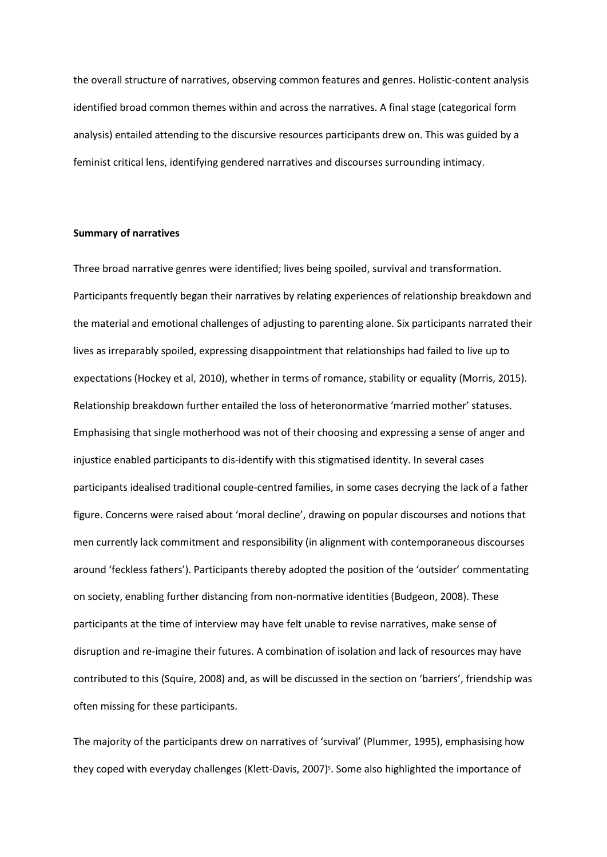the overall structure of narratives, observing common features and genres. Holistic-content analysis identified broad common themes within and across the narratives. A final stage (categorical form analysis) entailed attending to the discursive resources participants drew on. This was guided by a feminist critical lens, identifying gendered narratives and discourses surrounding intimacy.

# **Summary of narratives**

Three broad narrative genres were identified; lives being spoiled, survival and transformation. Participants frequently began their narratives by relating experiences of relationship breakdown and the material and emotional challenges of adjusting to parenting alone. Six participants narrated their lives as irreparably spoiled, expressing disappointment that relationships had failed to live up to expectations (Hockey et al, 2010), whether in terms of romance, stability or equality (Morris, 2015). Relationship breakdown further entailed the loss of heteronormative 'married mother' statuses. Emphasising that single motherhood was not of their choosing and expressing a sense of anger and injustice enabled participants to dis-identify with this stigmatised identity. In several cases participants idealised traditional couple-centred families, in some cases decrying the lack of a father figure. Concerns were raised about 'moral decline', drawing on popular discourses and notions that men currently lack commitment and responsibility (in alignment with contemporaneous discourses around 'feckless fathers'). Participants thereby adopted the position of the 'outsider' commentating on society, enabling further distancing from non-normative identities (Budgeon, 2008). These participants at the time of interview may have felt unable to revise narratives, make sense of disruption and re-imagine their futures. A combination of isolation and lack of resources may have contributed to this (Squire, 2008) and, as will be discussed in the section on 'barriers', friendship was often missing for these participants.

The majority of the participants drew on narratives of 'survival' (Plummer, 1995), emphasising how they coped with everyday challenges (Klett-Davis, 2007)<sup>5</sup>. Some also highlighted the importance of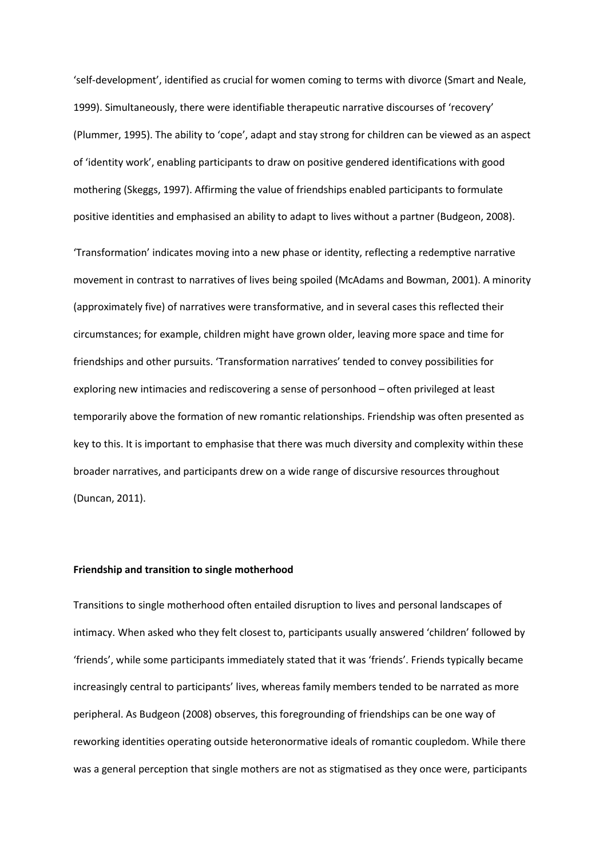'self-development', identified as crucial for women coming to terms with divorce (Smart and Neale, 1999). Simultaneously, there were identifiable therapeutic narrative discourses of 'recovery' (Plummer, 1995). The ability to 'cope', adapt and stay strong for children can be viewed as an aspect of 'identity work', enabling participants to draw on positive gendered identifications with good mothering (Skeggs, 1997). Affirming the value of friendships enabled participants to formulate positive identities and emphasised an ability to adapt to lives without a partner (Budgeon, 2008).

'Transformation' indicates moving into a new phase or identity, reflecting a redemptive narrative movement in contrast to narratives of lives being spoiled (McAdams and Bowman, 2001). A minority (approximately five) of narratives were transformative, and in several cases this reflected their circumstances; for example, children might have grown older, leaving more space and time for friendships and other pursuits. 'Transformation narratives' tended to convey possibilities for exploring new intimacies and rediscovering a sense of personhood – often privileged at least temporarily above the formation of new romantic relationships. Friendship was often presented as key to this. It is important to emphasise that there was much diversity and complexity within these broader narratives, and participants drew on a wide range of discursive resources throughout (Duncan, 2011).

#### **Friendship and transition to single motherhood**

Transitions to single motherhood often entailed disruption to lives and personal landscapes of intimacy. When asked who they felt closest to, participants usually answered 'children' followed by 'friends', while some participants immediately stated that it was 'friends'. Friends typically became increasingly central to participants' lives, whereas family members tended to be narrated as more peripheral. As Budgeon (2008) observes, this foregrounding of friendships can be one way of reworking identities operating outside heteronormative ideals of romantic coupledom. While there was a general perception that single mothers are not as stigmatised as they once were, participants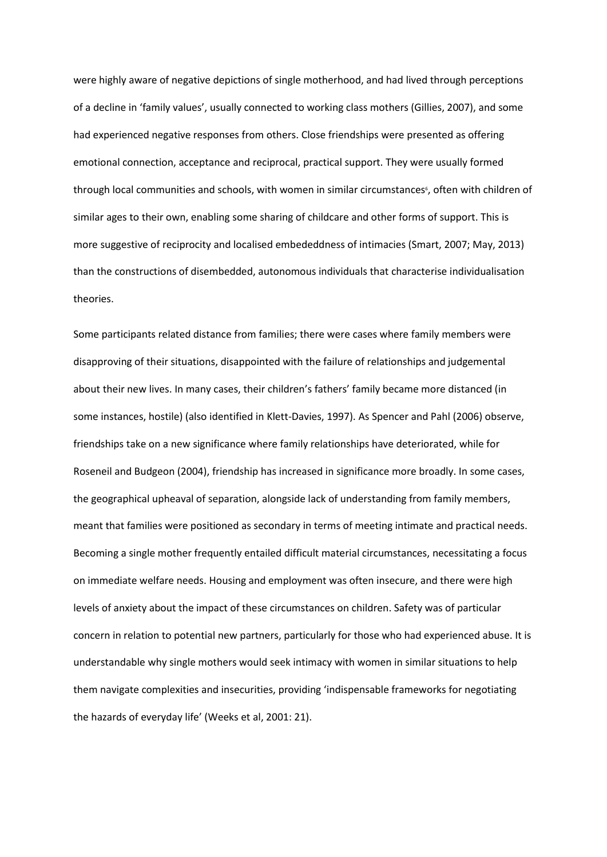were highly aware of negative depictions of single motherhood, and had lived through perceptions of a decline in 'family values', usually connected to working class mothers (Gillies, 2007), and some had experienced negative responses from others. Close friendships were presented as offering emotional connection, acceptance and reciprocal, practical support. They were usually formed through local communities and schools, with women in similar circumstances<sup>6</sup>, often with children of similar ages to their own, enabling some sharing of childcare and other forms of support. This is more suggestive of reciprocity and localised embededdness of intimacies (Smart, 2007; May, 2013) than the constructions of disembedded, autonomous individuals that characterise individualisation theories.

Some participants related distance from families; there were cases where family members were disapproving of their situations, disappointed with the failure of relationships and judgemental about their new lives. In many cases, their children's fathers' family became more distanced (in some instances, hostile) (also identified in Klett-Davies, 1997). As Spencer and Pahl (2006) observe, friendships take on a new significance where family relationships have deteriorated, while for Roseneil and Budgeon (2004), friendship has increased in significance more broadly. In some cases, the geographical upheaval of separation, alongside lack of understanding from family members, meant that families were positioned as secondary in terms of meeting intimate and practical needs. Becoming a single mother frequently entailed difficult material circumstances, necessitating a focus on immediate welfare needs. Housing and employment was often insecure, and there were high levels of anxiety about the impact of these circumstances on children. Safety was of particular concern in relation to potential new partners, particularly for those who had experienced abuse. It is understandable why single mothers would seek intimacy with women in similar situations to help them navigate complexities and insecurities, providing 'indispensable frameworks for negotiating the hazards of everyday life' (Weeks et al, 2001: 21).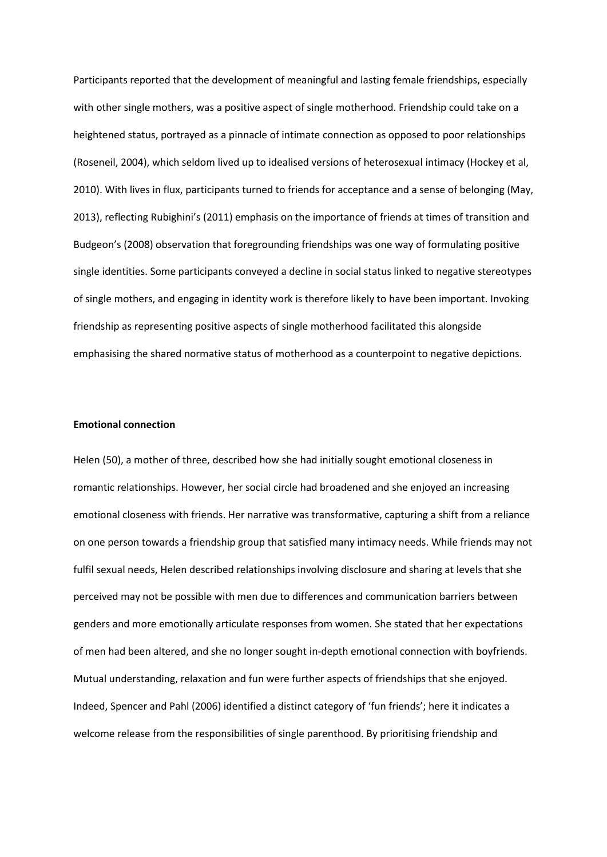Participants reported that the development of meaningful and lasting female friendships, especially with other single mothers, was a positive aspect of single motherhood. Friendship could take on a heightened status, portrayed as a pinnacle of intimate connection as opposed to poor relationships (Roseneil, 2004), which seldom lived up to idealised versions of heterosexual intimacy (Hockey et al, 2010). With lives in flux, participants turned to friends for acceptance and a sense of belonging (May, 2013), reflecting Rubighini's (2011) emphasis on the importance of friends at times of transition and Budgeon's (2008) observation that foregrounding friendships was one way of formulating positive single identities. Some participants conveyed a decline in social status linked to negative stereotypes of single mothers, and engaging in identity work is therefore likely to have been important. Invoking friendship as representing positive aspects of single motherhood facilitated this alongside emphasising the shared normative status of motherhood as a counterpoint to negative depictions.

### **Emotional connection**

Helen (50), a mother of three, described how she had initially sought emotional closeness in romantic relationships. However, her social circle had broadened and she enjoyed an increasing emotional closeness with friends. Her narrative was transformative, capturing a shift from a reliance on one person towards a friendship group that satisfied many intimacy needs. While friends may not fulfil sexual needs, Helen described relationships involving disclosure and sharing at levels that she perceived may not be possible with men due to differences and communication barriers between genders and more emotionally articulate responses from women. She stated that her expectations of men had been altered, and she no longer sought in-depth emotional connection with boyfriends. Mutual understanding, relaxation and fun were further aspects of friendships that she enjoyed. Indeed, Spencer and Pahl (2006) identified a distinct category of 'fun friends'; here it indicates a welcome release from the responsibilities of single parenthood. By prioritising friendship and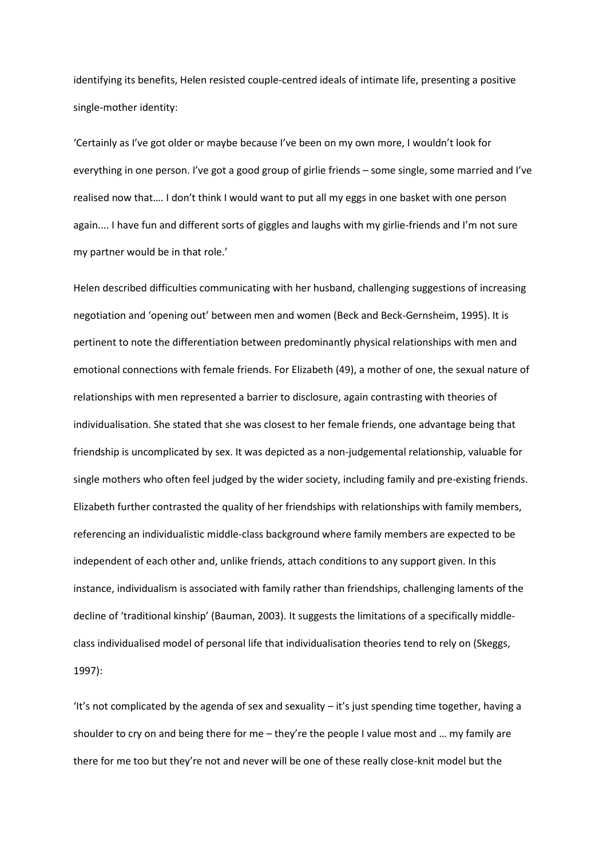identifying its benefits, Helen resisted couple-centred ideals of intimate life, presenting a positive single-mother identity:

'Certainly as I've got older or maybe because I've been on my own more, I wouldn't look for everything in one person. I've got a good group of girlie friends – some single, some married and I've realised now that…. I don't think I would want to put all my eggs in one basket with one person again.... I have fun and different sorts of giggles and laughs with my girlie-friends and I'm not sure my partner would be in that role.'

Helen described difficulties communicating with her husband, challenging suggestions of increasing negotiation and 'opening out' between men and women (Beck and Beck-Gernsheim, 1995). It is pertinent to note the differentiation between predominantly physical relationships with men and emotional connections with female friends. For Elizabeth (49), a mother of one, the sexual nature of relationships with men represented a barrier to disclosure, again contrasting with theories of individualisation. She stated that she was closest to her female friends, one advantage being that friendship is uncomplicated by sex. It was depicted as a non-judgemental relationship, valuable for single mothers who often feel judged by the wider society, including family and pre-existing friends. Elizabeth further contrasted the quality of her friendships with relationships with family members, referencing an individualistic middle-class background where family members are expected to be independent of each other and, unlike friends, attach conditions to any support given. In this instance, individualism is associated with family rather than friendships, challenging laments of the decline of 'traditional kinship' (Bauman, 2003). It suggests the limitations of a specifically middleclass individualised model of personal life that individualisation theories tend to rely on (Skeggs, 1997):

'It's not complicated by the agenda of sex and sexuality – it's just spending time together, having a shoulder to cry on and being there for me – they're the people I value most and … my family are there for me too but they're not and never will be one of these really close-knit model but the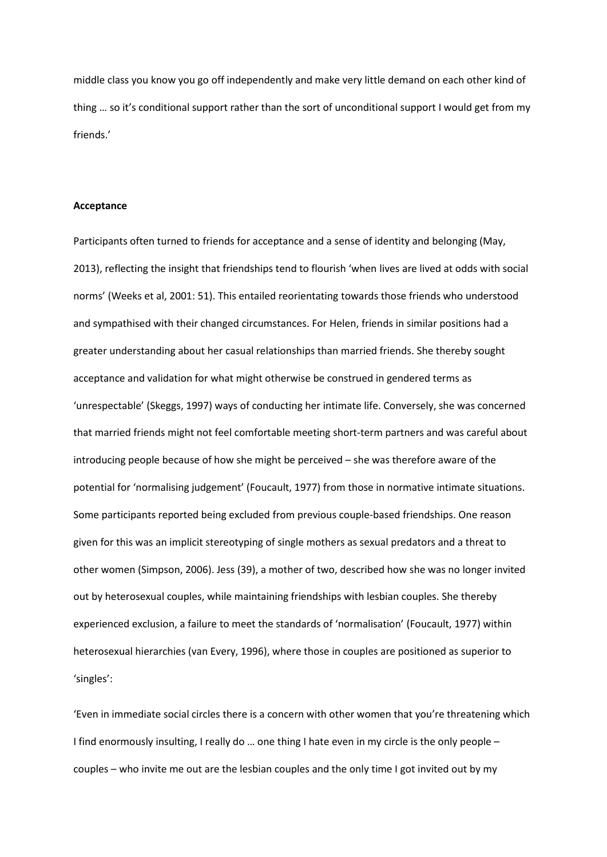middle class you know you go off independently and make very little demand on each other kind of thing … so it's conditional support rather than the sort of unconditional support I would get from my friends.'

## **Acceptance**

Participants often turned to friends for acceptance and a sense of identity and belonging (May, 2013), reflecting the insight that friendships tend to flourish 'when lives are lived at odds with social norms' (Weeks et al, 2001: 51). This entailed reorientating towards those friends who understood and sympathised with their changed circumstances. For Helen, friends in similar positions had a greater understanding about her casual relationships than married friends. She thereby sought acceptance and validation for what might otherwise be construed in gendered terms as 'unrespectable' (Skeggs, 1997) ways of conducting her intimate life. Conversely, she was concerned that married friends might not feel comfortable meeting short-term partners and was careful about introducing people because of how she might be perceived – she was therefore aware of the potential for 'normalising judgement' (Foucault, 1977) from those in normative intimate situations. Some participants reported being excluded from previous couple-based friendships. One reason given for this was an implicit stereotyping of single mothers as sexual predators and a threat to other women (Simpson, 2006). Jess (39), a mother of two, described how she was no longer invited out by heterosexual couples, while maintaining friendships with lesbian couples. She thereby experienced exclusion, a failure to meet the standards of 'normalisation' (Foucault, 1977) within heterosexual hierarchies (van Every, 1996), where those in couples are positioned as superior to 'singles':

'Even in immediate social circles there is a concern with other women that you're threatening which I find enormously insulting, I really do … one thing I hate even in my circle is the only people – couples – who invite me out are the lesbian couples and the only time I got invited out by my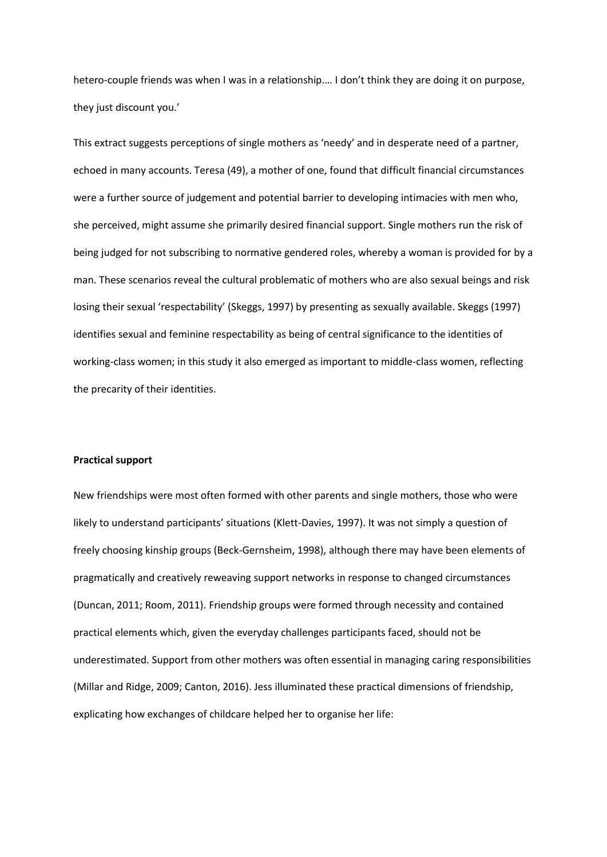hetero-couple friends was when I was in a relationship.… I don't think they are doing it on purpose, they just discount you.'

This extract suggests perceptions of single mothers as 'needy' and in desperate need of a partner, echoed in many accounts. Teresa (49), a mother of one, found that difficult financial circumstances were a further source of judgement and potential barrier to developing intimacies with men who, she perceived, might assume she primarily desired financial support. Single mothers run the risk of being judged for not subscribing to normative gendered roles, whereby a woman is provided for by a man. These scenarios reveal the cultural problematic of mothers who are also sexual beings and risk losing their sexual 'respectability' (Skeggs, 1997) by presenting as sexually available. Skeggs (1997) identifies sexual and feminine respectability as being of central significance to the identities of working-class women; in this study it also emerged as important to middle-class women, reflecting the precarity of their identities.

## **Practical support**

New friendships were most often formed with other parents and single mothers, those who were likely to understand participants' situations (Klett-Davies, 1997). It was not simply a question of freely choosing kinship groups (Beck-Gernsheim, 1998), although there may have been elements of pragmatically and creatively reweaving support networks in response to changed circumstances (Duncan, 2011; Room, 2011). Friendship groups were formed through necessity and contained practical elements which, given the everyday challenges participants faced, should not be underestimated. Support from other mothers was often essential in managing caring responsibilities (Millar and Ridge, 2009; Canton, 2016). Jess illuminated these practical dimensions of friendship, explicating how exchanges of childcare helped her to organise her life: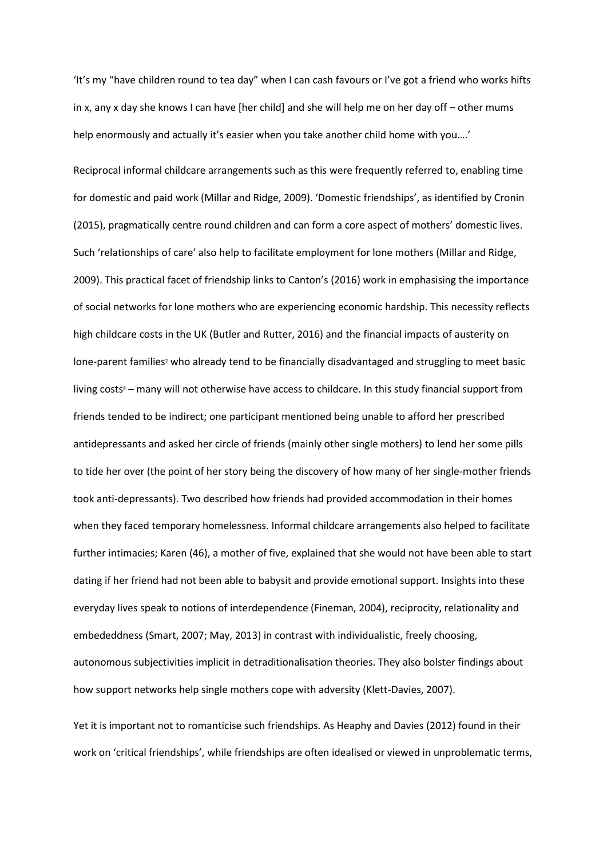'It's my "have children round to tea day" when I can cash favours or I've got a friend who works hifts in x, any x day she knows I can have [her child] and she will help me on her day off – other mums help enormously and actually it's easier when you take another child home with you….'

Reciprocal informal childcare arrangements such as this were frequently referred to, enabling time for domestic and paid work (Millar and Ridge, 2009). 'Domestic friendships', as identified by Cronin (2015), pragmatically centre round children and can form a core aspect of mothers' domestic lives. Such 'relationships of care' also help to facilitate employment for lone mothers (Millar and Ridge, 2009). This practical facet of friendship links to Canton's (2016) work in emphasising the importance of social networks for lone mothers who are experiencing economic hardship. This necessity reflects high childcare costs in the UK (Butler and Rutter, 2016) and the financial impacts of austerity on lone-parent families<sup>7</sup> who already tend to be financially disadvantaged and struggling to meet basic living costs<sup>8</sup> – many will not otherwise have access to childcare. In this study financial support from friends tended to be indirect; one participant mentioned being unable to afford her prescribed antidepressants and asked her circle of friends (mainly other single mothers) to lend her some pills to tide her over (the point of her story being the discovery of how many of her single-mother friends took anti-depressants). Two described how friends had provided accommodation in their homes when they faced temporary homelessness. Informal childcare arrangements also helped to facilitate further intimacies; Karen (46), a mother of five, explained that she would not have been able to start dating if her friend had not been able to babysit and provide emotional support. Insights into these everyday lives speak to notions of interdependence (Fineman, 2004), reciprocity, relationality and embededdness (Smart, 2007; May, 2013) in contrast with individualistic, freely choosing, autonomous subjectivities implicit in detraditionalisation theories. They also bolster findings about how support networks help single mothers cope with adversity (Klett-Davies, 2007).

Yet it is important not to romanticise such friendships. As Heaphy and Davies (2012) found in their work on 'critical friendships', while friendships are often idealised or viewed in unproblematic terms,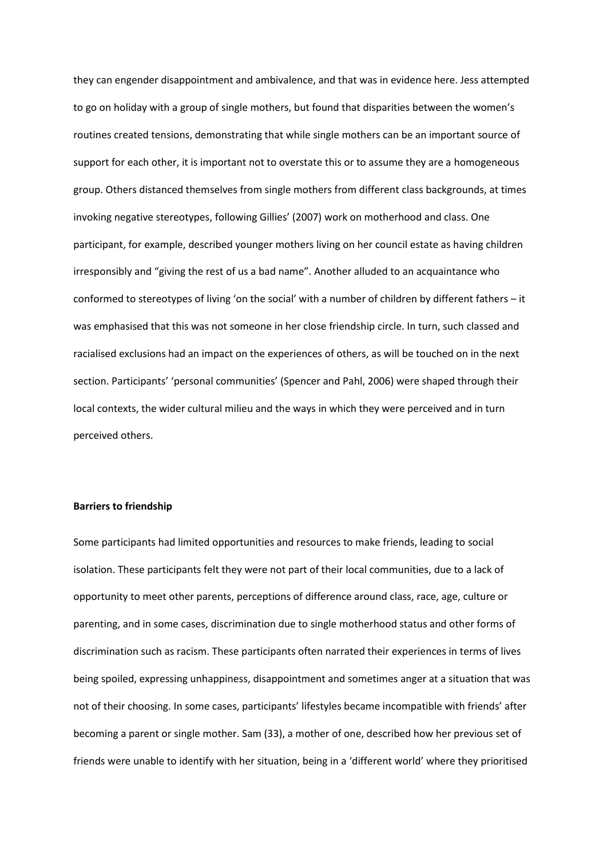they can engender disappointment and ambivalence, and that was in evidence here. Jess attempted to go on holiday with a group of single mothers, but found that disparities between the women's routines created tensions, demonstrating that while single mothers can be an important source of support for each other, it is important not to overstate this or to assume they are a homogeneous group. Others distanced themselves from single mothers from different class backgrounds, at times invoking negative stereotypes, following Gillies' (2007) work on motherhood and class. One participant, for example, described younger mothers living on her council estate as having children irresponsibly and "giving the rest of us a bad name". Another alluded to an acquaintance who conformed to stereotypes of living 'on the social' with a number of children by different fathers – it was emphasised that this was not someone in her close friendship circle. In turn, such classed and racialised exclusions had an impact on the experiences of others, as will be touched on in the next section. Participants' 'personal communities' (Spencer and Pahl, 2006) were shaped through their local contexts, the wider cultural milieu and the ways in which they were perceived and in turn perceived others.

### **Barriers to friendship**

Some participants had limited opportunities and resources to make friends, leading to social isolation. These participants felt they were not part of their local communities, due to a lack of opportunity to meet other parents, perceptions of difference around class, race, age, culture or parenting, and in some cases, discrimination due to single motherhood status and other forms of discrimination such as racism. These participants often narrated their experiences in terms of lives being spoiled, expressing unhappiness, disappointment and sometimes anger at a situation that was not of their choosing. In some cases, participants' lifestyles became incompatible with friends' after becoming a parent or single mother. Sam (33), a mother of one, described how her previous set of friends were unable to identify with her situation, being in a 'different world' where they prioritised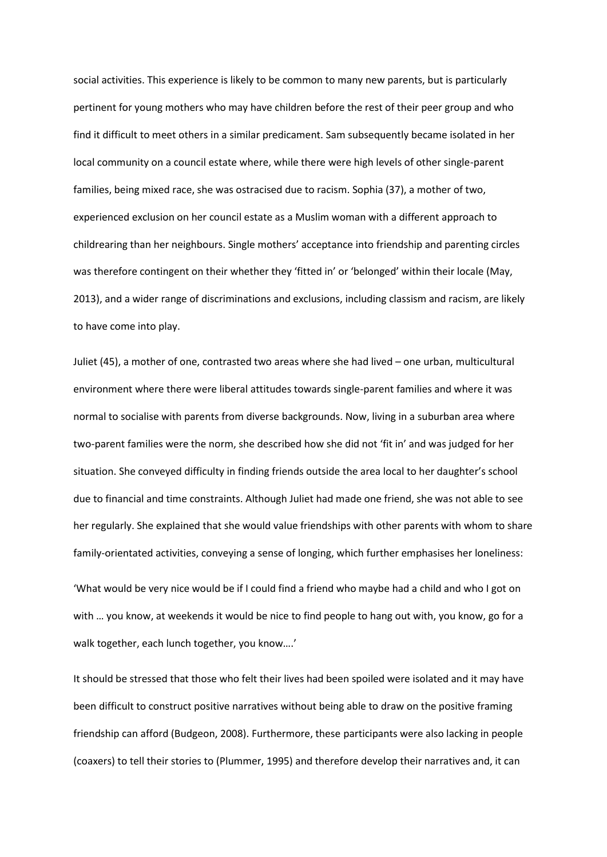social activities. This experience is likely to be common to many new parents, but is particularly pertinent for young mothers who may have children before the rest of their peer group and who find it difficult to meet others in a similar predicament. Sam subsequently became isolated in her local community on a council estate where, while there were high levels of other single-parent families, being mixed race, she was ostracised due to racism. Sophia (37), a mother of two, experienced exclusion on her council estate as a Muslim woman with a different approach to childrearing than her neighbours. Single mothers' acceptance into friendship and parenting circles was therefore contingent on their whether they 'fitted in' or 'belonged' within their locale (May, 2013), and a wider range of discriminations and exclusions, including classism and racism, are likely to have come into play.

Juliet (45), a mother of one, contrasted two areas where she had lived – one urban, multicultural environment where there were liberal attitudes towards single-parent families and where it was normal to socialise with parents from diverse backgrounds. Now, living in a suburban area where two-parent families were the norm, she described how she did not 'fit in' and was judged for her situation. She conveyed difficulty in finding friends outside the area local to her daughter's school due to financial and time constraints. Although Juliet had made one friend, she was not able to see her regularly. She explained that she would value friendships with other parents with whom to share family-orientated activities, conveying a sense of longing, which further emphasises her loneliness:

'What would be very nice would be if I could find a friend who maybe had a child and who I got on with … you know, at weekends it would be nice to find people to hang out with, you know, go for a walk together, each lunch together, you know….'

It should be stressed that those who felt their lives had been spoiled were isolated and it may have been difficult to construct positive narratives without being able to draw on the positive framing friendship can afford (Budgeon, 2008). Furthermore, these participants were also lacking in people (coaxers) to tell their stories to (Plummer, 1995) and therefore develop their narratives and, it can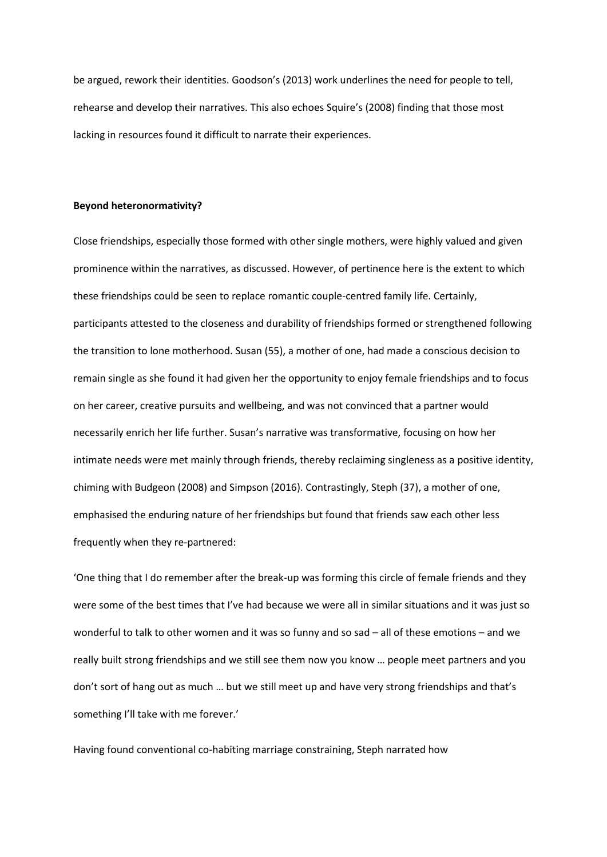be argued, rework their identities. Goodson's (2013) work underlines the need for people to tell, rehearse and develop their narratives. This also echoes Squire's (2008) finding that those most lacking in resources found it difficult to narrate their experiences.

### **Beyond heteronormativity?**

Close friendships, especially those formed with other single mothers, were highly valued and given prominence within the narratives, as discussed. However, of pertinence here is the extent to which these friendships could be seen to replace romantic couple-centred family life. Certainly, participants attested to the closeness and durability of friendships formed or strengthened following the transition to lone motherhood. Susan (55), a mother of one, had made a conscious decision to remain single as she found it had given her the opportunity to enjoy female friendships and to focus on her career, creative pursuits and wellbeing, and was not convinced that a partner would necessarily enrich her life further. Susan's narrative was transformative, focusing on how her intimate needs were met mainly through friends, thereby reclaiming singleness as a positive identity, chiming with Budgeon (2008) and Simpson (2016). Contrastingly, Steph (37), a mother of one, emphasised the enduring nature of her friendships but found that friends saw each other less frequently when they re-partnered:

'One thing that I do remember after the break-up was forming this circle of female friends and they were some of the best times that I've had because we were all in similar situations and it was just so wonderful to talk to other women and it was so funny and so sad – all of these emotions – and we really built strong friendships and we still see them now you know … people meet partners and you don't sort of hang out as much … but we still meet up and have very strong friendships and that's something I'll take with me forever.'

Having found conventional co-habiting marriage constraining, Steph narrated how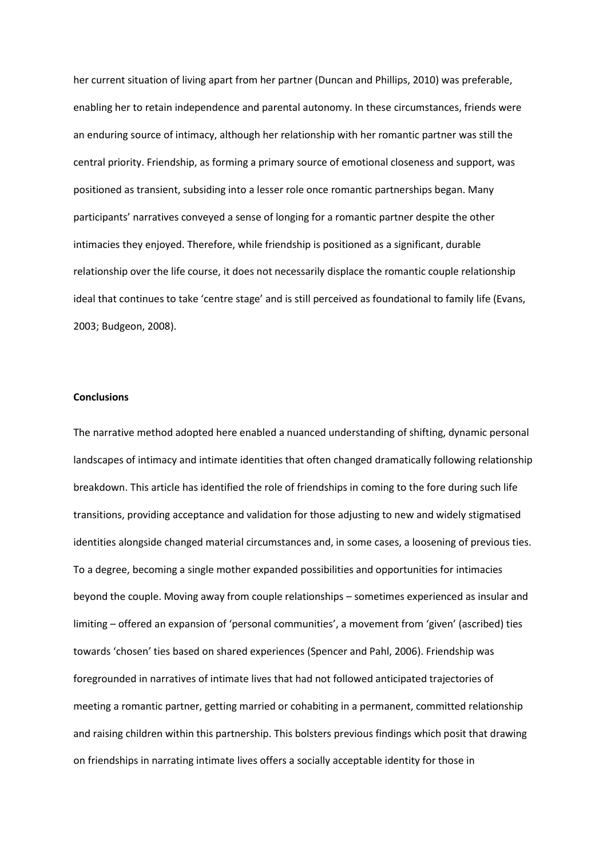her current situation of living apart from her partner (Duncan and Phillips, 2010) was preferable, enabling her to retain independence and parental autonomy. In these circumstances, friends were an enduring source of intimacy, although her relationship with her romantic partner was still the central priority. Friendship, as forming a primary source of emotional closeness and support, was positioned as transient, subsiding into a lesser role once romantic partnerships began. Many participants' narratives conveyed a sense of longing for a romantic partner despite the other intimacies they enjoyed. Therefore, while friendship is positioned as a significant, durable relationship over the life course, it does not necessarily displace the romantic couple relationship ideal that continues to take 'centre stage' and is still perceived as foundational to family life (Evans, 2003; Budgeon, 2008).

# **Conclusions**

The narrative method adopted here enabled a nuanced understanding of shifting, dynamic personal landscapes of intimacy and intimate identities that often changed dramatically following relationship breakdown. This article has identified the role of friendships in coming to the fore during such life transitions, providing acceptance and validation for those adjusting to new and widely stigmatised identities alongside changed material circumstances and, in some cases, a loosening of previous ties. To a degree, becoming a single mother expanded possibilities and opportunities for intimacies beyond the couple. Moving away from couple relationships – sometimes experienced as insular and limiting – offered an expansion of 'personal communities', a movement from 'given' (ascribed) ties towards 'chosen' ties based on shared experiences (Spencer and Pahl, 2006). Friendship was foregrounded in narratives of intimate lives that had not followed anticipated trajectories of meeting a romantic partner, getting married or cohabiting in a permanent, committed relationship and raising children within this partnership. This bolsters previous findings which posit that drawing on friendships in narrating intimate lives offers a socially acceptable identity for those in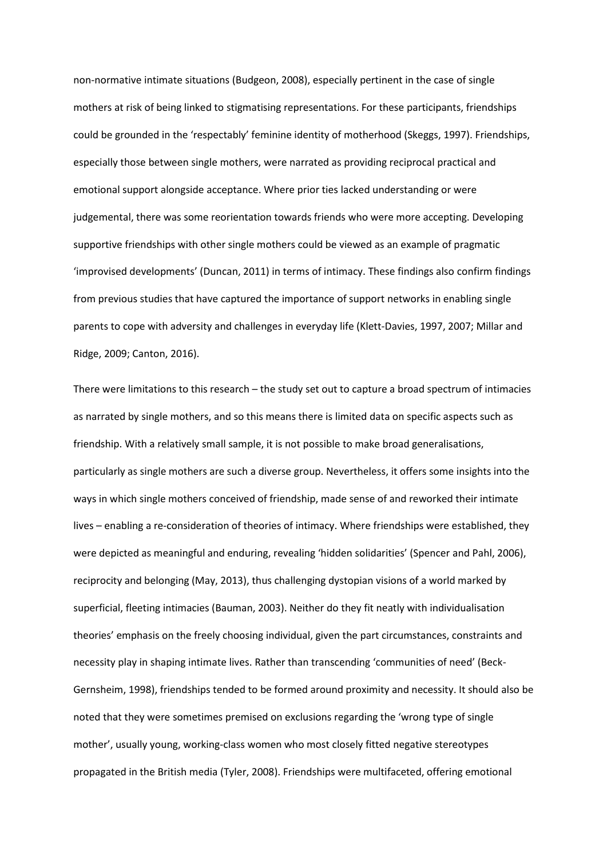non-normative intimate situations (Budgeon, 2008), especially pertinent in the case of single mothers at risk of being linked to stigmatising representations. For these participants, friendships could be grounded in the 'respectably' feminine identity of motherhood (Skeggs, 1997). Friendships, especially those between single mothers, were narrated as providing reciprocal practical and emotional support alongside acceptance. Where prior ties lacked understanding or were judgemental, there was some reorientation towards friends who were more accepting. Developing supportive friendships with other single mothers could be viewed as an example of pragmatic 'improvised developments' (Duncan, 2011) in terms of intimacy. These findings also confirm findings from previous studies that have captured the importance of support networks in enabling single parents to cope with adversity and challenges in everyday life (Klett-Davies, 1997, 2007; Millar and Ridge, 2009; Canton, 2016).

There were limitations to this research – the study set out to capture a broad spectrum of intimacies as narrated by single mothers, and so this means there is limited data on specific aspects such as friendship. With a relatively small sample, it is not possible to make broad generalisations, particularly as single mothers are such a diverse group. Nevertheless, it offers some insights into the ways in which single mothers conceived of friendship, made sense of and reworked their intimate lives – enabling a re-consideration of theories of intimacy. Where friendships were established, they were depicted as meaningful and enduring, revealing 'hidden solidarities' (Spencer and Pahl, 2006), reciprocity and belonging (May, 2013), thus challenging dystopian visions of a world marked by superficial, fleeting intimacies (Bauman, 2003). Neither do they fit neatly with individualisation theories' emphasis on the freely choosing individual, given the part circumstances, constraints and necessity play in shaping intimate lives. Rather than transcending 'communities of need' (Beck-Gernsheim, 1998), friendships tended to be formed around proximity and necessity. It should also be noted that they were sometimes premised on exclusions regarding the 'wrong type of single mother', usually young, working-class women who most closely fitted negative stereotypes propagated in the British media (Tyler, 2008). Friendships were multifaceted, offering emotional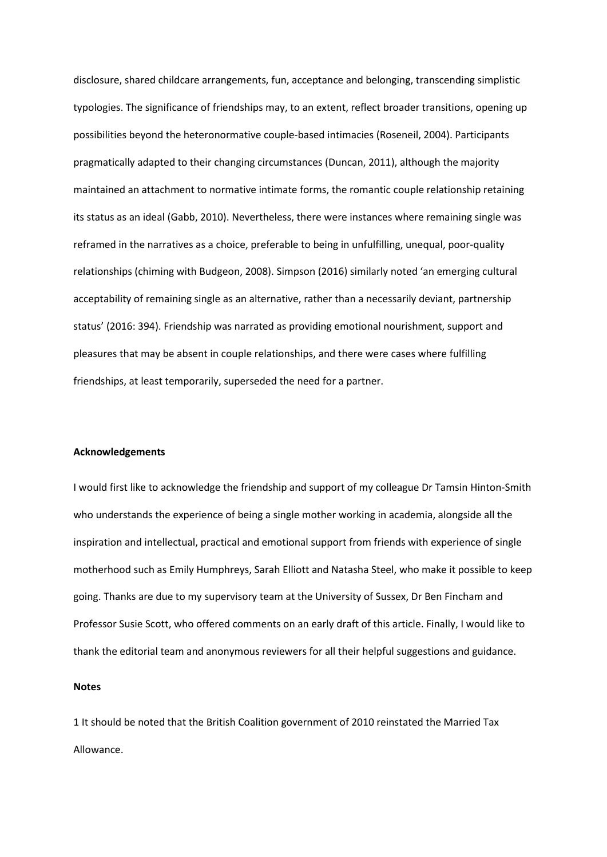disclosure, shared childcare arrangements, fun, acceptance and belonging, transcending simplistic typologies. The significance of friendships may, to an extent, reflect broader transitions, opening up possibilities beyond the heteronormative couple-based intimacies (Roseneil, 2004). Participants pragmatically adapted to their changing circumstances (Duncan, 2011), although the majority maintained an attachment to normative intimate forms, the romantic couple relationship retaining its status as an ideal (Gabb, 2010). Nevertheless, there were instances where remaining single was reframed in the narratives as a choice, preferable to being in unfulfilling, unequal, poor-quality relationships (chiming with Budgeon, 2008). Simpson (2016) similarly noted 'an emerging cultural acceptability of remaining single as an alternative, rather than a necessarily deviant, partnership status' (2016: 394). Friendship was narrated as providing emotional nourishment, support and pleasures that may be absent in couple relationships, and there were cases where fulfilling friendships, at least temporarily, superseded the need for a partner.

## **Acknowledgements**

I would first like to acknowledge the friendship and support of my colleague Dr Tamsin Hinton-Smith who understands the experience of being a single mother working in academia, alongside all the inspiration and intellectual, practical and emotional support from friends with experience of single motherhood such as Emily Humphreys, Sarah Elliott and Natasha Steel, who make it possible to keep going. Thanks are due to my supervisory team at the University of Sussex, Dr Ben Fincham and Professor Susie Scott, who offered comments on an early draft of this article. Finally, I would like to thank the editorial team and anonymous reviewers for all their helpful suggestions and guidance.

# **Notes**

1 It should be noted that the British Coalition government of 2010 reinstated the Married Tax Allowance.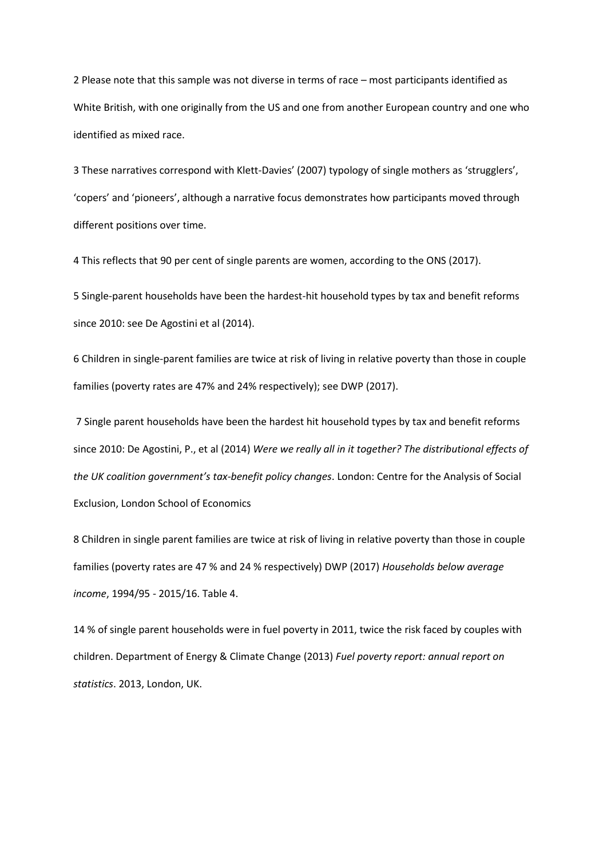2 Please note that this sample was not diverse in terms of race – most participants identified as White British, with one originally from the US and one from another European country and one who identified as mixed race.

3 These narratives correspond with Klett-Davies' (2007) typology of single mothers as 'strugglers', 'copers' and 'pioneers', although a narrative focus demonstrates how participants moved through different positions over time.

4 This reflects that 90 per cent of single parents are women, according to the ONS (2017).

5 Single-parent households have been the hardest-hit household types by tax and benefit reforms since 2010: see De Agostini et al (2014).

6 Children in single-parent families are twice at risk of living in relative poverty than those in couple families (poverty rates are 47% and 24% respectively); see DWP (2017).

7 Single parent households have been the hardest hit household types by tax and benefit reforms since 2010: De Agostini, P., et al (2014) *Were we really all in it together? The distributional effects of the UK coalition government's tax-benefit policy changes*. London: Centre for the Analysis of Social Exclusion, London School of Economics

8 Children in single parent families are twice at risk of living in relative poverty than those in couple families (poverty rates are 47 % and 24 % respectively) DWP (2017) *Households below average income*, 1994/95 - 2015/16. Table 4.

14 % of single parent households were in fuel poverty in 2011, twice the risk faced by couples with children. Department of Energy & Climate Change (2013) *Fuel poverty report: annual report on statistics*. 2013, London, UK.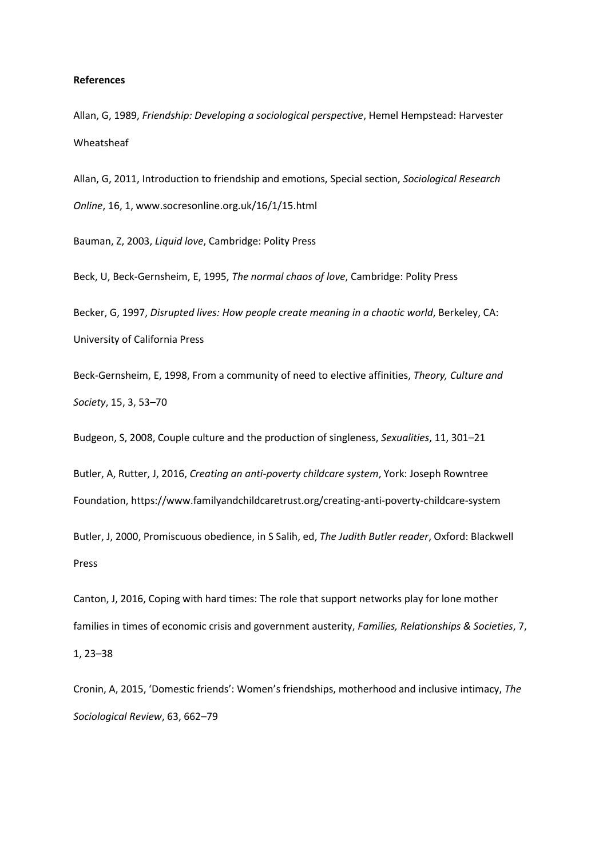### **References**

Allan, G, 1989, *Friendship: Developing a sociological perspective*, Hemel Hempstead: Harvester Wheatsheaf

Allan, G, 2011, Introduction to friendship and emotions, Special section, *Sociological Research Online*, 16, 1, www.socresonline.org.uk/16/1/15.html

Bauman, Z, 2003, *Liquid love*, Cambridge: Polity Press

Beck, U, Beck-Gernsheim, E, 1995, *The normal chaos of love*, Cambridge: Polity Press

Becker, G, 1997, *Disrupted lives: How people create meaning in a chaotic world*, Berkeley, CA: University of California Press

Beck-Gernsheim, E, 1998, From a community of need to elective affinities, *Theory, Culture and Society*, 15, 3, 53–70

Budgeon, S, 2008, Couple culture and the production of singleness, *Sexualities*, 11, 301–21

Butler, A, Rutter, J, 2016, *Creating an anti-poverty childcare system*, York: Joseph Rowntree

Foundation, https://www.familyandchildcaretrust.org/creating-anti-poverty-childcare-system

Butler, J, 2000, Promiscuous obedience, in S Salih, ed, *The Judith Butler reader*, Oxford: Blackwell Press

Canton, J, 2016, Coping with hard times: The role that support networks play for lone mother families in times of economic crisis and government austerity, *Families, Relationships & Societies*, 7, 1, 23–38

Cronin, A, 2015, 'Domestic friends': Women's friendships, motherhood and inclusive intimacy, *The Sociological Review*, 63, 662–79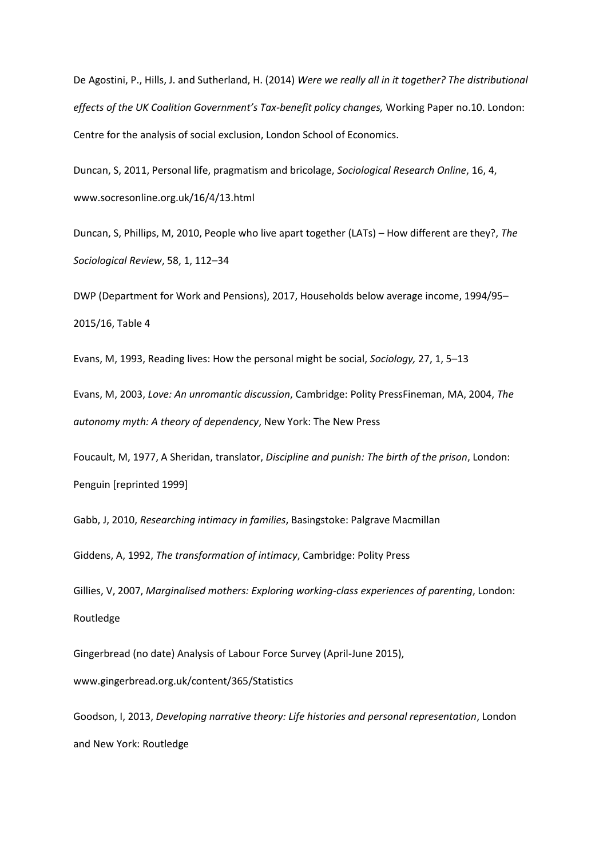De Agostini, P., Hills, J. and Sutherland, H. (2014) *Were we really all in it together? The distributional effects of the UK Coalition Government's Tax-benefit policy changes,* Working Paper no.10. London: Centre for the analysis of social exclusion, London School of Economics.

Duncan, S, 2011, Personal life, pragmatism and bricolage, *Sociological Research Online*, 16, 4, www.socresonline.org.uk/16/4/13.html

Duncan, S, Phillips, M, 2010, People who live apart together (LATs) – How different are they?, *The Sociological Review*, 58, 1, 112–34

DWP (Department for Work and Pensions), 2017, Households below average income, 1994/95– 2015/16, Table 4

Evans, M, 1993, Reading lives: How the personal might be social, *Sociology,* 27, 1, 5–13

Evans, M, 2003, *Love: An unromantic discussion*, Cambridge: Polity PressFineman, MA, 2004, *The autonomy myth: A theory of dependency*, New York: The New Press

Foucault, M, 1977, A Sheridan, translator, *Discipline and punish: The birth of the prison*, London: Penguin [reprinted 1999]

Gabb, J, 2010, *Researching intimacy in families*, Basingstoke: Palgrave Macmillan

Giddens, A, 1992, *The transformation of intimacy*, Cambridge: Polity Press

Gillies, V, 2007, *Marginalised mothers: Exploring working-class experiences of parenting*, London: Routledge

Gingerbread (no date) Analysis of Labour Force Survey (April-June 2015), www.gingerbread.org.uk/content/365/Statistics

Goodson, I, 2013, *Developing narrative theory: Life histories and personal representation*, London and New York: Routledge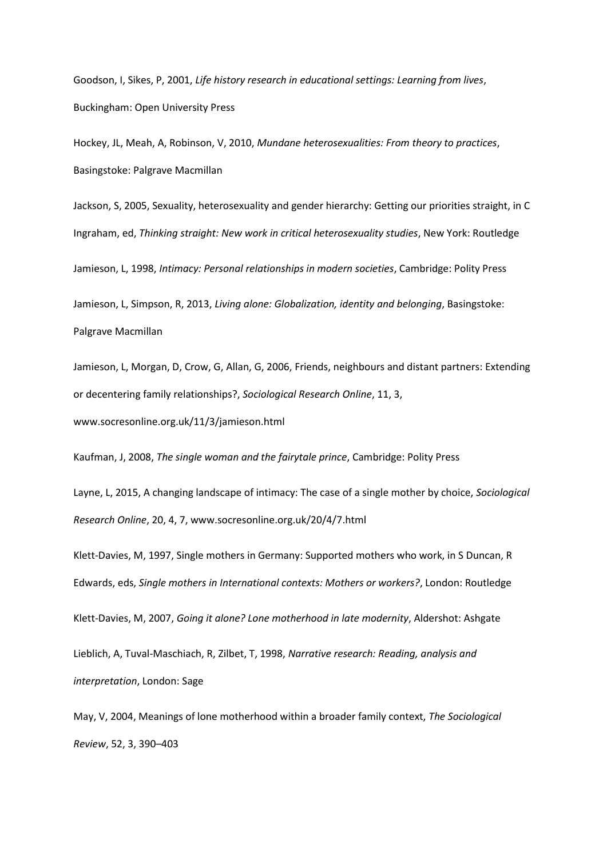Goodson, I, Sikes, P, 2001, *Life history research in educational settings: Learning from lives*, Buckingham: Open University Press

Hockey, JL, Meah, A, Robinson, V, 2010, *Mundane heterosexualities: From theory to practices*, Basingstoke: Palgrave Macmillan

Jackson, S, 2005, Sexuality, heterosexuality and gender hierarchy: Getting our priorities straight, in C Ingraham, ed, *Thinking straight: New work in critical heterosexuality studies*, New York: Routledge

Jamieson, L, 1998, *Intimacy: Personal relationships in modern societies*, Cambridge: Polity Press

Jamieson, L, Simpson, R, 2013, *Living alone: Globalization, identity and belonging*, Basingstoke:

Palgrave Macmillan

Jamieson, L, Morgan, D, Crow, G, Allan, G, 2006, Friends, neighbours and distant partners: Extending or decentering family relationships?, *Sociological Research Online*, 11, 3, www.socresonline.org.uk/11/3/jamieson.html

Kaufman, J, 2008, *The single woman and the fairytale prince*, Cambridge: Polity Press

Layne, L, 2015, A changing landscape of intimacy: The case of a single mother by choice, *Sociological Research Online*, 20, 4, 7, www.socresonline.org.uk/20/4/7.html

Klett-Davies, M, 1997, Single mothers in Germany: Supported mothers who work, in S Duncan, R Edwards, eds, *Single mothers in International contexts: Mothers or workers?*, London: Routledge

Klett-Davies, M, 2007, *Going it alone? Lone motherhood in late modernity*, Aldershot: Ashgate

Lieblich, A, Tuval-Maschiach, R, Zilbet, T, 1998, *Narrative research: Reading, analysis and interpretation*, London: Sage

May, V, 2004, Meanings of lone motherhood within a broader family context, *The Sociological Review*, 52, 3, 390–403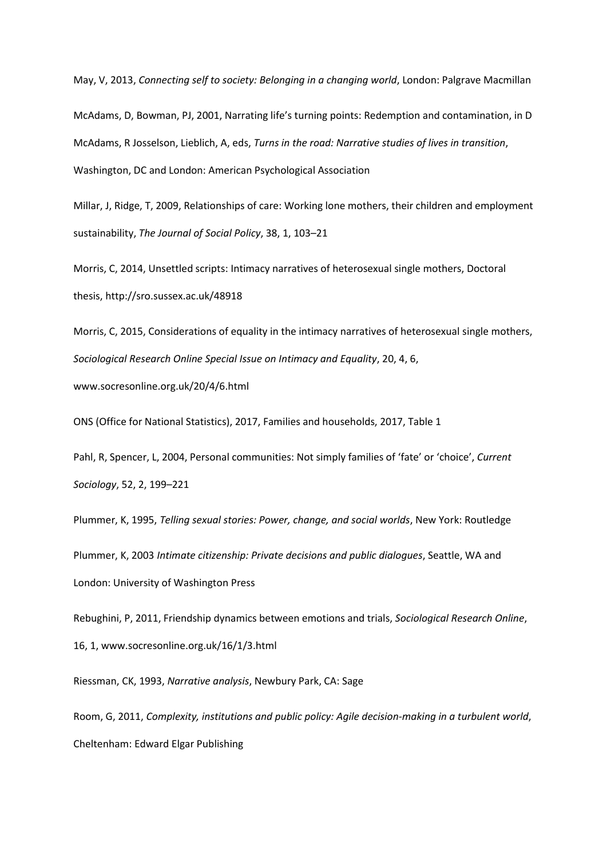May, V, 2013, *Connecting self to society: Belonging in a changing world*, London: Palgrave Macmillan

McAdams, D, Bowman, PJ, 2001, Narrating life's turning points: Redemption and contamination, in D McAdams, R Josselson, Lieblich, A, eds, *Turns in the road: Narrative studies of lives in transition*, Washington, DC and London: American Psychological Association

Millar, J, Ridge, T, 2009, Relationships of care: Working lone mothers, their children and employment sustainability, *The Journal of Social Policy*, 38, 1, 103–21

Morris, C, 2014, Unsettled scripts: Intimacy narratives of heterosexual single mothers, Doctoral thesis, http://sro.sussex.ac.uk/48918

Morris, C, 2015, Considerations of equality in the intimacy narratives of heterosexual single mothers, *Sociological Research Online Special Issue on Intimacy and Equality*, 20, 4, 6, www.socresonline.org.uk/20/4/6.html

ONS (Office for National Statistics), 2017, Families and households, 2017, Table 1

Pahl, R, Spencer, L, 2004, Personal communities: Not simply families of 'fate' or 'choice', *Current Sociology*, 52, 2, 199–221

Plummer, K, 1995, *Telling sexual stories: Power, change, and social worlds*, New York: Routledge

Plummer, K, 2003 *Intimate citizenship: Private decisions and public dialogues*, Seattle, WA and London: University of Washington Press

Rebughini, P, 2011, Friendship dynamics between emotions and trials, *Sociological Research Online*, 16, 1, www.socresonline.org.uk/16/1/3.html

Riessman, CK, 1993, *Narrative analysis*, Newbury Park, CA: Sage

Room, G, 2011, *Complexity, institutions and public policy: Agile decision-making in a turbulent world*, Cheltenham: Edward Elgar Publishing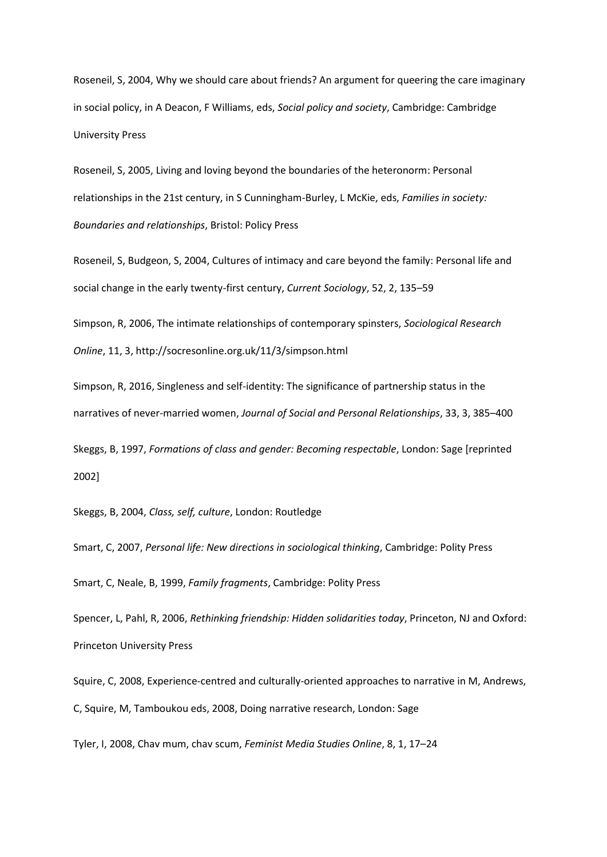Roseneil, S, 2004, Why we should care about friends? An argument for queering the care imaginary in social policy, in A Deacon, F Williams, eds, *Social policy and society*, Cambridge: Cambridge University Press

Roseneil, S, 2005, Living and loving beyond the boundaries of the heteronorm: Personal relationships in the 21st century, in S Cunningham-Burley, L McKie, eds, *Families in society: Boundaries and relationships*, Bristol: Policy Press

Roseneil, S, Budgeon, S, 2004, Cultures of intimacy and care beyond the family: Personal life and social change in the early twenty-first century, *Current Sociology*, 52, 2, 135–59

Simpson, R, 2006, The intimate relationships of contemporary spinsters, *Sociological Research Online*, 11, 3, http://socresonline.org.uk/11/3/simpson.html

Simpson, R, 2016, Singleness and self-identity: The significance of partnership status in the narratives of never-married women, *Journal of Social and Personal Relationships*, 33, 3, 385–400

Skeggs, B, 1997, *Formations of class and gender: Becoming respectable*, London: Sage [reprinted 2002]

Skeggs, B, 2004, *Class, self, culture*, London: Routledge

Smart, C, 2007, *Personal life: New directions in sociological thinking*, Cambridge: Polity Press Smart, C, Neale, B, 1999, *Family fragments*, Cambridge: Polity Press

Spencer, L, Pahl, R, 2006, *Rethinking friendship: Hidden solidarities today*, Princeton, NJ and Oxford: Princeton University Press

Squire, C, 2008, Experience-centred and culturally-oriented approaches to narrative in M, Andrews, C, Squire, M, Tamboukou eds, 2008, Doing narrative research, London: Sage

Tyler, I, 2008, Chav mum, chav scum, *Feminist Media Studies Online*, 8, 1, 17–24